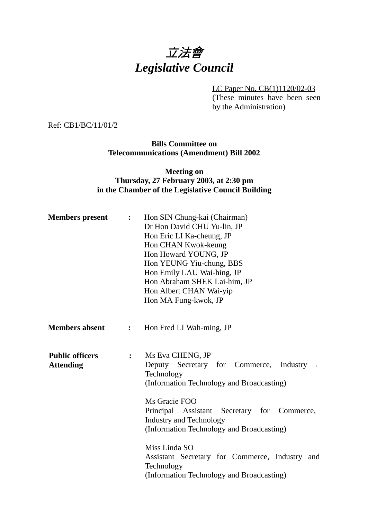# 立法會 *Legislative Council*

LC Paper No. CB(1)1120/02-03 (These minutes have been seen by the Administration)

Ref: CB1/BC/11/01/2

**Bills Committee on Telecommunications (Amendment) Bill 2002**

#### **Meeting on Thursday, 27 February 2003, at 2:30 pm in the Chamber of the Legislative Council Building**

| <b>Members</b> present                     | $\ddot{\cdot}$ | Hon SIN Chung-kai (Chairman)<br>Dr Hon David CHU Yu-lin, JP<br>Hon Eric LI Ka-cheung, JP<br>Hon CHAN Kwok-keung<br>Hon Howard YOUNG, JP<br>Hon YEUNG Yiu-chung, BBS<br>Hon Emily LAU Wai-hing, JP<br>Hon Abraham SHEK Lai-him, JP<br>Hon Albert CHAN Wai-yip<br>Hon MA Fung-kwok, JP |
|--------------------------------------------|----------------|--------------------------------------------------------------------------------------------------------------------------------------------------------------------------------------------------------------------------------------------------------------------------------------|
| <b>Members absent</b>                      | $\ddot{\cdot}$ | Hon Fred LI Wah-ming, JP                                                                                                                                                                                                                                                             |
| <b>Public officers</b><br><b>Attending</b> | $\ddot{\cdot}$ | Ms Eva CHENG, JP<br>Deputy Secretary for Commerce,<br>Industry<br>Technology<br>(Information Technology and Broadcasting)<br>Ms Gracie FOO<br>Principal Assistant Secretary for Commerce,<br><b>Industry and Technology</b><br>(Information Technology and Broadcasting)             |
|                                            |                | Miss Linda SO<br>Assistant Secretary for Commerce, Industry<br>and<br>Technology<br>(Information Technology and Broadcasting)                                                                                                                                                        |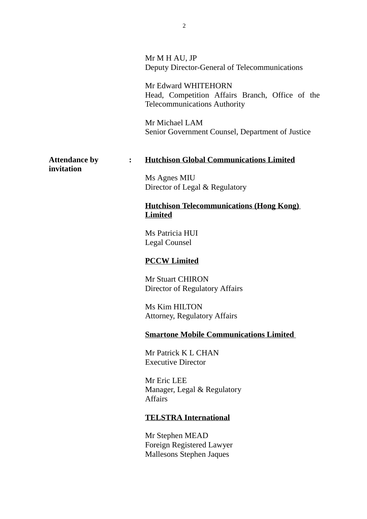|                                    |                | Mr M H AU, JP<br>Deputy Director-General of Telecommunications                                                |
|------------------------------------|----------------|---------------------------------------------------------------------------------------------------------------|
|                                    |                | Mr Edward WHITEHORN<br>Head, Competition Affairs Branch, Office of the<br><b>Telecommunications Authority</b> |
|                                    |                | Mr Michael LAM<br>Senior Government Counsel, Department of Justice                                            |
| <b>Attendance by</b><br>invitation | $\ddot{\cdot}$ | <b>Hutchison Global Communications Limited</b>                                                                |
|                                    |                | Ms Agnes MIU<br>Director of Legal & Regulatory                                                                |
|                                    |                | <b>Hutchison Telecommunications (Hong Kong)</b><br><b>Limited</b>                                             |
|                                    |                | Ms Patricia HUI<br>Legal Counsel                                                                              |
|                                    |                | <b>PCCW Limited</b>                                                                                           |
|                                    |                | <b>Mr Stuart CHIRON</b><br>Director of Regulatory Affairs                                                     |
|                                    |                | Ms Kim HILTON<br><b>Attorney, Regulatory Affairs</b>                                                          |
|                                    |                | <b>Smartone Mobile Communications Limited</b>                                                                 |
|                                    |                | Mr Patrick K L CHAN<br><b>Executive Director</b>                                                              |
|                                    |                | Mr Eric LEE<br>Manager, Legal & Regulatory<br><b>Affairs</b>                                                  |
|                                    |                | <b>TELSTRA International</b>                                                                                  |
|                                    |                | Mr Stephen MEAD<br>Foreign Registered Lawyer<br><b>Mallesons Stephen Jaques</b>                               |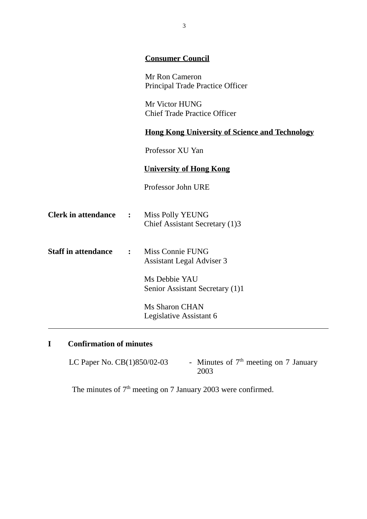|                | <b>Consumer Council</b>                                     |
|----------------|-------------------------------------------------------------|
|                | Mr Ron Cameron<br>Principal Trade Practice Officer          |
|                | Mr Victor HUNG<br><b>Chief Trade Practice Officer</b>       |
|                | <b>Hong Kong University of Science and Technology</b>       |
|                | Professor XU Yan                                            |
|                | <b>University of Hong Kong</b>                              |
|                | Professor John URE                                          |
| $\ddot{\cdot}$ | Miss Polly YEUNG<br>Chief Assistant Secretary (1)3          |
| $\ddot{\cdot}$ | <b>Miss Connie FUNG</b><br><b>Assistant Legal Adviser 3</b> |
|                | Ms Debbie YAU<br>Senior Assistant Secretary (1)1            |
|                | <b>Ms Sharon CHAN</b><br>Legislative Assistant 6            |
|                |                                                             |

# **I Confirmation of minutes**

| LC Paper No. CB(1)850/02-03 |  | - Minutes of $7th$ meeting on 7 January |  |
|-----------------------------|--|-----------------------------------------|--|
|                             |  | 2003                                    |  |

The minutes of  $7<sup>th</sup>$  meeting on 7 January 2003 were confirmed.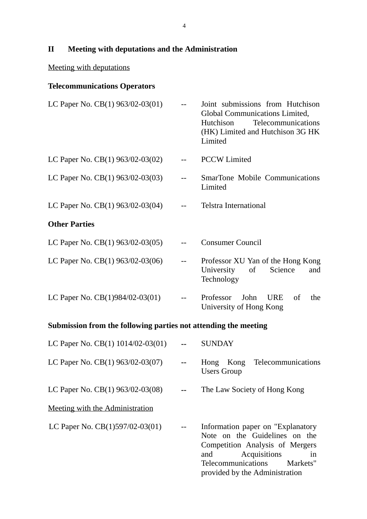**II Meeting with deputations and the Administration**

## Meeting with deputations

## **Telecommunications Operators**

| LC Paper No. $CB(1)$ 963/02-03(01) |     | Joint submissions from Hutchison<br>Global Communications Limited,<br>Telecommunications<br><b>Hutchison</b><br>(HK) Limited and Hutchison 3G HK<br>Limited |
|------------------------------------|-----|-------------------------------------------------------------------------------------------------------------------------------------------------------------|
| LC Paper No. $CB(1)$ 963/02-03(02) |     | <b>PCCW</b> Limited                                                                                                                                         |
| LC Paper No. $CB(1)$ 963/02-03(03) |     | <b>SmarTone Mobile Communications</b><br>Limited                                                                                                            |
| LC Paper No. $CB(1)$ 963/02-03(04) | $-$ | <b>Telstra International</b>                                                                                                                                |
| <b>Other Parties</b>               |     |                                                                                                                                                             |
| LC Paper No. $CB(1)$ 963/02-03(05) |     | <b>Consumer Council</b>                                                                                                                                     |
| LC Paper No. $CB(1)$ 963/02-03(06) |     | Professor XU Yan of the Hong Kong<br>University<br>of<br>Science<br>and<br>Technology                                                                       |
| LC Paper No. CB(1)984/02-03(01)    |     | Professor<br>John<br><b>URE</b><br>of<br>the<br>University of Hong Kong                                                                                     |
|                                    |     |                                                                                                                                                             |

## **Submission from the following parties not attending the meeting**

| LC Paper No. CB(1) 1014/02-03(01)  |                          | <b>SUNDAY</b>                                                                                                                                                                                        |
|------------------------------------|--------------------------|------------------------------------------------------------------------------------------------------------------------------------------------------------------------------------------------------|
| LC Paper No. CB(1) 963/02-03(07)   | $\sim$ $\sim$            | Telecommunications<br>Kong<br>Hong<br><b>Users Group</b>                                                                                                                                             |
| LC Paper No. $CB(1)$ 963/02-03(08) |                          | The Law Society of Hong Kong                                                                                                                                                                         |
| Meeting with the Administration    |                          |                                                                                                                                                                                                      |
| LC Paper No. $CB(1)597/02-03(01)$  | $\overline{\phantom{a}}$ | Information paper on "Explanatory"<br>Note on the Guidelines on the<br>Competition Analysis of Mergers<br>Acquisitions<br>and<br>1n<br>Telecommunications Markets"<br>provided by the Administration |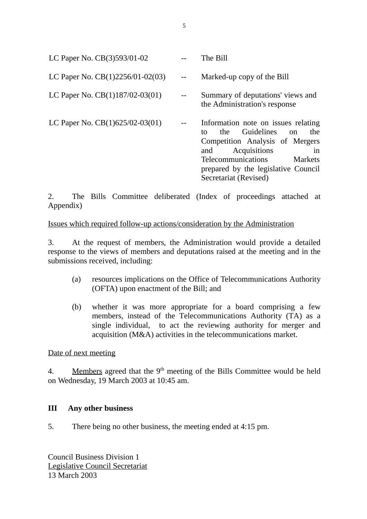| LC Paper No. CB(3)593/01-02        |               | The Bill                                                                                                                                                                                                                               |
|------------------------------------|---------------|----------------------------------------------------------------------------------------------------------------------------------------------------------------------------------------------------------------------------------------|
| LC Paper No. $CB(1)2256/01-02(03)$ |               | Marked-up copy of the Bill                                                                                                                                                                                                             |
| LC Paper No. $CB(1)187/02-03(01)$  | $\sim$ $\sim$ | Summary of deputations' views and<br>the Administration's response                                                                                                                                                                     |
| LC Paper No. $CB(1)625/02-03(01)$  |               | Information note on issues relating<br>the Guidelines on<br>the<br>tο<br>Competition Analysis of Mergers<br>Acquisitions<br>in<br>and<br>Telecommunications<br>Markets<br>prepared by the legislative Council<br>Secretariat (Revised) |

2. The Bills Committee deliberated (Index of proceedings attached at Appendix)

Issues which required follow-up actions/consideration by the Administration

3. At the request of members, the Administration would provide a detailed response to the views of members and deputations raised at the meeting and in the submissions received, including:

- (a) resources implications on the Office of Telecommunications Authority (OFTA) upon enactment of the Bill; and
- (b) whether it was more appropriate for a board comprising a few members, instead of the Telecommunications Authority (TA) as a single individual, to act the reviewing authority for merger and acquisition (M&A) activities in the telecommunications market.

#### Date of next meeting

4. Members agreed that the  $9<sup>th</sup>$  meeting of the Bills Committee would be held on Wednesday, 19 March 2003 at 10:45 am.

#### **III Any other business**

5. There being no other business, the meeting ended at 4:15 pm.

Council Business Division 1 Legislative Council Secretariat 13 March 2003

5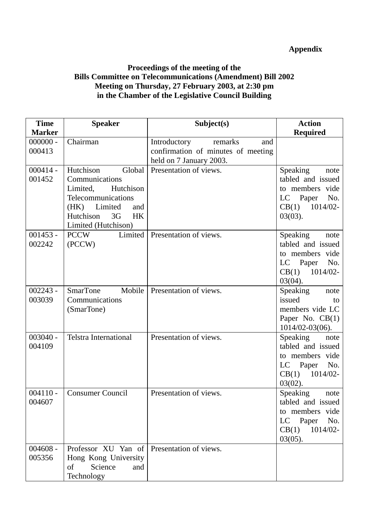## **Appendix**

### **Proceedings of the meeting of the Bills Committee on Telecommunications (Amendment) Bill 2002 Meeting on Thursday, 27 February 2003, at 2:30 pm in the Chamber of the Legislative Council Building**

| <b>Time</b>          | <b>Speaker</b>                                                                                                                                                     | Subject(s)                                                                                      | <b>Action</b>                                                                                               |
|----------------------|--------------------------------------------------------------------------------------------------------------------------------------------------------------------|-------------------------------------------------------------------------------------------------|-------------------------------------------------------------------------------------------------------------|
| <b>Marker</b>        |                                                                                                                                                                    |                                                                                                 | <b>Required</b>                                                                                             |
| $000000 -$<br>000413 | Chairman                                                                                                                                                           | Introductory<br>remarks<br>and<br>confirmation of minutes of meeting<br>held on 7 January 2003. |                                                                                                             |
| $000414 -$<br>001452 | Hutchison<br>Global<br>Communications<br>Limited,<br>Hutchison<br>Telecommunications<br>(HK) Limited<br>and<br>Hutchison<br>3G<br><b>HK</b><br>Limited (Hutchison) | Presentation of views.                                                                          | Speaking<br>note<br>tabled and issued<br>to members vide<br>LC Paper No.<br>1014/02-<br>CB(1)<br>$03(03)$ . |
| $001453 -$<br>002242 | <b>PCCW</b><br>(PCCW)                                                                                                                                              | Limited   Presentation of views.                                                                | Speaking<br>note<br>tabled and issued<br>to members vide<br>LC Paper No.<br>$CB(1)$ 1014/02-<br>$03(04)$ .  |
| $002243 -$<br>003039 | SmarTone Mobile<br>Communications<br>(SmarTone)                                                                                                                    | Presentation of views.                                                                          | Speaking<br>note<br>issued<br>to<br>members vide LC<br>Paper No. $CB(1)$<br>$1014/02 - 03(06)$ .            |
| $003040 -$<br>004109 | <b>Telstra International</b>                                                                                                                                       | Presentation of views.                                                                          | Speaking<br>note<br>tabled and issued<br>to members vide<br>LC Paper No.<br>$CB(1)$ 1014/02-<br>$03(02)$ .  |
| 004607               | 004110 - Consumer Council                                                                                                                                          | Presentation of views                                                                           | Speaking<br>note<br>tabled and issued<br>to members vide<br>LC Paper No.<br>1014/02-<br>CB(1)<br>$03(05)$ . |
| $004608 -$<br>005356 | Professor XU Yan of Presentation of views.<br>Hong Kong University<br>Science<br>of<br>and<br>Technology                                                           |                                                                                                 |                                                                                                             |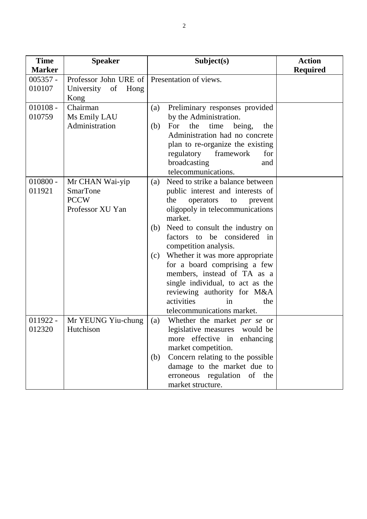| <b>Time</b>   | <b>Speaker</b>                               | Subject(s)                                 | <b>Action</b>   |
|---------------|----------------------------------------------|--------------------------------------------|-----------------|
| <b>Marker</b> |                                              |                                            | <b>Required</b> |
| $005357 -$    | Professor John URE of Presentation of views. |                                            |                 |
| 010107        | University of Hong                           |                                            |                 |
|               | Kong                                         |                                            |                 |
| $010108 -$    | Chairman                                     | Preliminary responses provided<br>(a)      |                 |
| 010759        | Ms Emily LAU                                 | by the Administration.                     |                 |
|               | Administration                               | time being,<br>For<br>the<br>(b)<br>the    |                 |
|               |                                              | Administration had no concrete             |                 |
|               |                                              | plan to re-organize the existing           |                 |
|               |                                              | regulatory<br>framework<br>for             |                 |
|               |                                              | broadcasting<br>and                        |                 |
|               |                                              | telecommunications.                        |                 |
| $010800 -$    | Mr CHAN Wai-yip                              | Need to strike a balance between<br>(a)    |                 |
| 011921        | <b>SmarTone</b>                              | public interest and interests of           |                 |
|               | <b>PCCW</b>                                  | the<br>operators<br>to<br>prevent          |                 |
|               | Professor XU Yan                             | oligopoly in telecommunications            |                 |
|               |                                              | market.                                    |                 |
|               |                                              | Need to consult the industry on<br>(b)     |                 |
|               |                                              | factors to be considered in                |                 |
|               |                                              | competition analysis.                      |                 |
|               |                                              | Whether it was more appropriate<br>(c)     |                 |
|               |                                              | for a board comprising a few               |                 |
|               |                                              | members, instead of TA as a                |                 |
|               |                                              | single individual, to act as the           |                 |
|               |                                              | reviewing authority for M&A                |                 |
|               |                                              | activities<br>the<br>in                    |                 |
|               |                                              | telecommunications market.                 |                 |
| $011922 -$    | Mr YEUNG Yiu-chung                           | Whether the market <i>per se</i> or<br>(a) |                 |
| 012320        | Hutchison                                    | legislative measures would be              |                 |
|               |                                              | more effective in enhancing                |                 |
|               |                                              | market competition.                        |                 |
|               |                                              | Concern relating to the possible<br>(b)    |                 |
|               |                                              | damage to the market due to                |                 |
|               |                                              | erroneous regulation of the                |                 |
|               |                                              | market structure.                          |                 |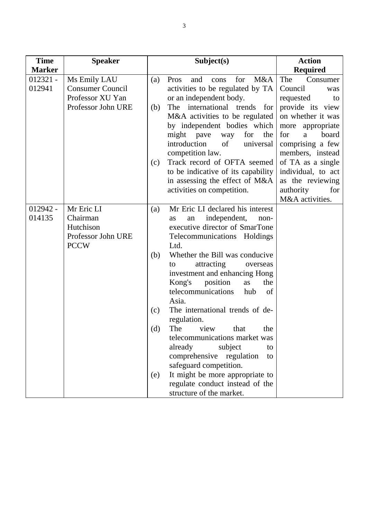| <b>Time</b>   | <b>Speaker</b>          |     | Subject(s)                         | <b>Action</b>       |
|---------------|-------------------------|-----|------------------------------------|---------------------|
| <b>Marker</b> |                         |     |                                    | <b>Required</b>     |
| $012321 -$    | Ms Emily LAU            | (a) | M&A<br>for<br>Pros<br>and<br>cons  | The<br>Consumer     |
| 012941        | <b>Consumer Council</b> |     | activities to be regulated by TA   | Council<br>was      |
|               | Professor XU Yan        |     | or an independent body.            | requested<br>to     |
|               | Professor John URE      | (b) | The international trends<br>for    | provide its view    |
|               |                         |     | M&A activities to be regulated     | on whether it was   |
|               |                         |     | by independent bodies which        | more<br>appropriate |
|               |                         |     | might pave<br>for<br>the<br>way    | board<br>for<br>a   |
|               |                         |     | introduction<br>of<br>universal    | comprising a few    |
|               |                         |     | competition law.                   | members, instead    |
|               |                         | (c) | Track record of OFTA seemed        | of TA as a single   |
|               |                         |     | to be indicative of its capability | individual, to act  |
|               |                         |     | in assessing the effect of M&A     | as the reviewing    |
|               |                         |     | activities on competition.         | authority<br>for    |
|               |                         |     |                                    | M&A activities.     |
| $012942 -$    | Mr Eric LI              | (a) | Mr Eric LI declared his interest   |                     |
| 014135        | Chairman                |     | independent,<br>as<br>an<br>non-   |                     |
|               | Hutchison               |     | executive director of SmarTone     |                     |
|               | Professor John URE      |     | Telecommunications Holdings        |                     |
|               | <b>PCCW</b>             |     | Ltd.                               |                     |
|               |                         | (b) | Whether the Bill was conducive     |                     |
|               |                         |     | attracting<br>to<br>overseas       |                     |
|               |                         |     | investment and enhancing Hong      |                     |
|               |                         |     | Kong's<br>position<br>the<br>as    |                     |
|               |                         |     | telecommunications<br>hub<br>of    |                     |
|               |                         |     | Asia.                              |                     |
|               |                         | (c) | The international trends of de-    |                     |
|               |                         |     | regulation.                        |                     |
|               |                         | (d) | The view that<br>the.              |                     |
|               |                         |     | telecommunications market was      |                     |
|               |                         |     | already<br>subject<br>to           |                     |
|               |                         |     | comprehensive regulation<br>to     |                     |
|               |                         |     | safeguard competition.             |                     |
|               |                         | (e) | It might be more appropriate to    |                     |
|               |                         |     | regulate conduct instead of the    |                     |
|               |                         |     | structure of the market.           |                     |